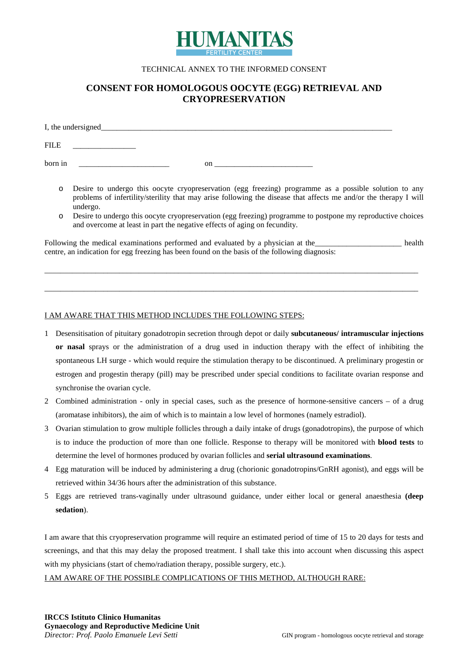

#### TECHNICAL ANNEX TO THE INFORMED CONSENT

# **CONSENT FOR HOMOLOGOUS OOCYTE (EGG) RETRIEVAL AND CRYOPRESERVATION**

| I, the undersigned____ |    |
|------------------------|----|
| <b>FILE</b>            |    |
| born in                | on |

- o Desire to undergo this oocyte cryopreservation (egg freezing) programme as a possible solution to any problems of infertility/sterility that may arise following the disease that affects me and/or the therapy I will undergo.
- o Desire to undergo this oocyte cryopreservation (egg freezing) programme to postpone my reproductive choices and overcome at least in part the negative effects of aging on fecundity.

Following the medical examinations performed and evaluated by a physician at the lead health centre, an indication for egg freezing has been found on the basis of the following diagnosis:

\_\_\_\_\_\_\_\_\_\_\_\_\_\_\_\_\_\_\_\_\_\_\_\_\_\_\_\_\_\_\_\_\_\_\_\_\_\_\_\_\_\_\_\_\_\_\_\_\_\_\_\_\_\_\_\_\_\_\_\_\_\_\_\_\_\_\_\_\_\_\_\_\_\_\_\_\_\_\_\_\_\_\_\_\_\_\_\_\_\_\_\_\_\_\_

\_\_\_\_\_\_\_\_\_\_\_\_\_\_\_\_\_\_\_\_\_\_\_\_\_\_\_\_\_\_\_\_\_\_\_\_\_\_\_\_\_\_\_\_\_\_\_\_\_\_\_\_\_\_\_\_\_\_\_\_\_\_\_\_\_\_\_\_\_\_\_\_\_\_\_\_\_\_\_\_\_\_\_\_\_\_\_\_\_\_\_\_\_\_\_

#### I AM AWARE THAT THIS METHOD INCLUDES THE FOLLOWING STEPS:

- 1 Desensitisation of pituitary gonadotropin secretion through depot or daily **subcutaneous/ intramuscular injections or nasal** sprays or the administration of a drug used in induction therapy with the effect of inhibiting the spontaneous LH surge - which would require the stimulation therapy to be discontinued. A preliminary progestin or estrogen and progestin therapy (pill) may be prescribed under special conditions to facilitate ovarian response and synchronise the ovarian cycle.
- 2 Combined administration only in special cases, such as the presence of hormone-sensitive cancers of a drug (aromatase inhibitors), the aim of which is to maintain a low level of hormones (namely estradiol).
- 3 Ovarian stimulation to grow multiple follicles through a daily intake of drugs (gonadotropins), the purpose of which is to induce the production of more than one follicle. Response to therapy will be monitored with **blood tests** to determine the level of hormones produced by ovarian follicles and **serial ultrasound examinations**.
- 4 Egg maturation will be induced by administering a drug (chorionic gonadotropins/GnRH agonist), and eggs will be retrieved within 34/36 hours after the administration of this substance.
- 5 Eggs are retrieved trans-vaginally under ultrasound guidance, under either local or general anaesthesia **(deep sedation**).

I am aware that this cryopreservation programme will require an estimated period of time of 15 to 20 days for tests and screenings, and that this may delay the proposed treatment. I shall take this into account when discussing this aspect with my physicians (start of chemo/radiation therapy, possible surgery, etc.).

I AM AWARE OF THE POSSIBLE COMPLICATIONS OF THIS METHOD, ALTHOUGH RARE: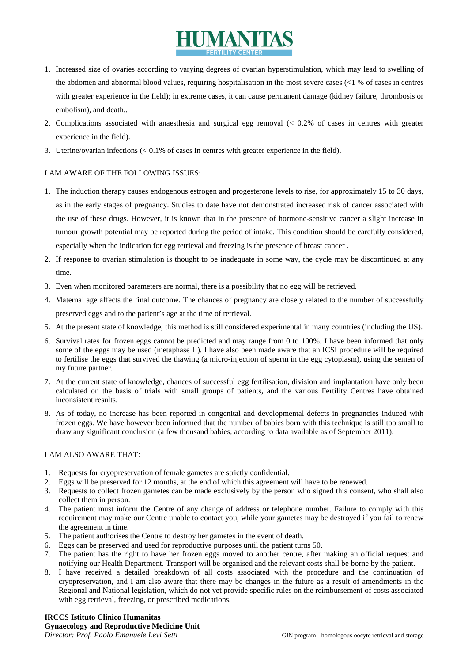# HUMANITAS

- 1. Increased size of ovaries according to varying degrees of ovarian hyperstimulation, which may lead to swelling of the abdomen and abnormal blood values, requiring hospitalisation in the most severe cases (<1 % of cases in centres with greater experience in the field); in extreme cases, it can cause permanent damage (kidney failure, thrombosis or embolism), and death..
- 2. Complications associated with anaesthesia and surgical egg removal (< 0.2% of cases in centres with greater experience in the field).
- 3. Uterine/ovarian infections (< 0.1% of cases in centres with greater experience in the field).

# I AM AWARE OF THE FOLLOWING ISSUES:

- 1. The induction therapy causes endogenous estrogen and progesterone levels to rise, for approximately 15 to 30 days, as in the early stages of pregnancy. Studies to date have not demonstrated increased risk of cancer associated with the use of these drugs. However, it is known that in the presence of hormone-sensitive cancer a slight increase in tumour growth potential may be reported during the period of intake. This condition should be carefully considered, especially when the indication for egg retrieval and freezing is the presence of breast cancer .
- 2. If response to ovarian stimulation is thought to be inadequate in some way, the cycle may be discontinued at any time.
- 3. Even when monitored parameters are normal, there is a possibility that no egg will be retrieved.
- 4. Maternal age affects the final outcome. The chances of pregnancy are closely related to the number of successfully preserved eggs and to the patient's age at the time of retrieval.
- 5. At the present state of knowledge, this method is still considered experimental in many countries (including the US).
- 6. Survival rates for frozen eggs cannot be predicted and may range from 0 to 100%. I have been informed that only some of the eggs may be used (metaphase II). I have also been made aware that an ICSI procedure will be required to fertilise the eggs that survived the thawing (a micro-injection of sperm in the egg cytoplasm), using the semen of my future partner.
- 7. At the current state of knowledge, chances of successful egg fertilisation, division and implantation have only been calculated on the basis of trials with small groups of patients, and the various Fertility Centres have obtained inconsistent results.
- 8. As of today, no increase has been reported in congenital and developmental defects in pregnancies induced with frozen eggs. We have however been informed that the number of babies born with this technique is still too small to draw any significant conclusion (a few thousand babies, according to data available as of September 2011).

# I AM ALSO AWARE THAT:

- 1. Requests for cryopreservation of female gametes are strictly confidential.
- 2. Eggs will be preserved for 12 months, at the end of which this agreement will have to be renewed.
- 3. Requests to collect frozen gametes can be made exclusively by the person who signed this consent, who shall also collect them in person.
- 4. The patient must inform the Centre of any change of address or telephone number. Failure to comply with this requirement may make our Centre unable to contact you, while your gametes may be destroyed if you fail to renew the agreement in time.
- 5. The patient authorises the Centre to destroy her gametes in the event of death.
- 6. Eggs can be preserved and used for reproductive purposes until the patient turns 50.
- 7. The patient has the right to have her frozen eggs moved to another centre, after making an official request and notifying our Health Department. Transport will be organised and the relevant costs shall be borne by the patient.
- 8. I have received a detailed breakdown of all costs associated with the procedure and the continuation of cryopreservation, and I am also aware that there may be changes in the future as a result of amendments in the Regional and National legislation, which do not yet provide specific rules on the reimbursement of costs associated with egg retrieval, freezing, or prescribed medications.